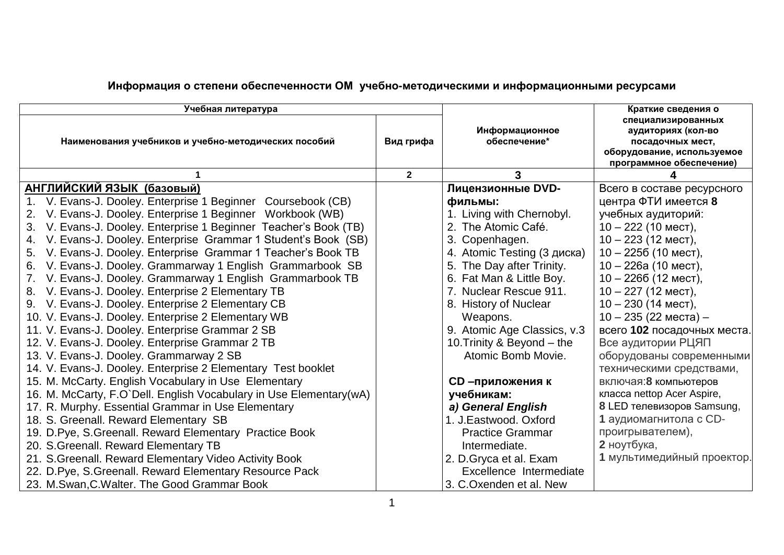| Учебная литература                                                 |              |                                | Краткие сведения о                                                                                                     |
|--------------------------------------------------------------------|--------------|--------------------------------|------------------------------------------------------------------------------------------------------------------------|
| Наименования учебников и учебно-методических пособий               | Вид грифа    | Информационное<br>обеспечение* | специализированных<br>аудиториях (кол-во<br>посадочных мест,<br>оборудование, используемое<br>программное обеспечение) |
|                                                                    | $\mathbf{2}$ | 3                              |                                                                                                                        |
| АНГЛИЙСКИЙ ЯЗЫК (базовый)                                          |              | Лицензионные DVD-              | Всего в составе ресурсного                                                                                             |
| 1. V. Evans-J. Dooley. Enterprise 1 Beginner Coursebook (CB)       |              | фильмы:                        | центра ФТИ имеется 8                                                                                                   |
| 2. V. Evans-J. Dooley. Enterprise 1 Beginner Workbook (WB)         |              | 1. Living with Chernobyl.      | учебных аудиторий:                                                                                                     |
| 3. V. Evans-J. Dooley. Enterprise 1 Beginner Teacher's Book (TB)   |              | 2. The Atomic Café.            | $10 - 222$ (10 мест),                                                                                                  |
| 4. V. Evans-J. Dooley. Enterprise Grammar 1 Student's Book (SB)    |              | 3. Copenhagen.                 | $10 - 223$ (12 мест),                                                                                                  |
| 5. V. Evans-J. Dooley. Enterprise Grammar 1 Teacher's Book TB      |              | 4. Atomic Testing (3 диска)    | $10 - 2256$ (10 мест),                                                                                                 |
| 6. V. Evans-J. Dooley. Grammarway 1 English Grammarbook SB         |              | 5. The Day after Trinity.      | $10 - 226a$ (10 мест),                                                                                                 |
| 7. V. Evans-J. Dooley. Grammarway 1 English Grammarbook TB         |              | 6. Fat Man & Little Boy.       | $10 - 2266$ (12 мест),                                                                                                 |
| 8. V. Evans-J. Dooley. Enterprise 2 Elementary TB                  |              | 7. Nuclear Rescue 911.         | $10 - 227$ (12 MecT),                                                                                                  |
| 9. V. Evans-J. Dooley. Enterprise 2 Elementary CB                  |              | 8. History of Nuclear          | $10 - 230$ (14 MecT),                                                                                                  |
| 10. V. Evans-J. Dooley. Enterprise 2 Elementary WB                 |              | Weapons.                       | $10 - 235$ (22 места) –                                                                                                |
| 11. V. Evans-J. Dooley. Enterprise Grammar 2 SB                    |              | 9. Atomic Age Classics, v.3    | всего 102 посадочных места.                                                                                            |
| 12. V. Evans-J. Dooley. Enterprise Grammar 2 TB                    |              | 10. Trinity & Beyond – the     | Все аудитории РЦЯП                                                                                                     |
| 13. V. Evans-J. Dooley. Grammarway 2 SB                            |              | Atomic Bomb Movie.             | оборудованы современными                                                                                               |
| 14. V. Evans-J. Dooley. Enterprise 2 Elementary Test booklet       |              |                                | техническими средствами,                                                                                               |
| 15. M. McCarty. English Vocabulary in Use Elementary               |              | <b>CD-приложения к</b>         | включая: 8 компьютеров                                                                                                 |
| 16. M. McCarty, F.O'Dell. English Vocabulary in Use Elementary(wA) |              | учебникам:                     | класса nettop Acer Aspire,                                                                                             |
| 17. R. Murphy. Essential Grammar in Use Elementary                 |              | a) General English             | 8 LED телевизоров Samsung,                                                                                             |
| 18. S. Greenall. Reward Elementary SB                              |              | 1. J.Eastwood. Oxford          | 1 аудиомагнитола с CD-                                                                                                 |
| 19. D.Pye, S.Greenall. Reward Elementary Practice Book             |              | <b>Practice Grammar</b>        | проигрывателем),                                                                                                       |
| 20. S. Greenall. Reward Elementary TB                              |              | Intermediate.                  | 2 ноутбука,                                                                                                            |
| 21. S. Greenall. Reward Elementary Video Activity Book             |              | 2. D. Gryca et al. Exam        | 1 мультимедийный проектор.                                                                                             |
| 22. D.Pye, S.Greenall. Reward Elementary Resource Pack             |              | Excellence Intermediate        |                                                                                                                        |
| 23. M. Swan, C. Walter. The Good Grammar Book                      |              | 3. C.Oxenden et al. New        |                                                                                                                        |

## **Информация о степени обеспеченности ОМ учебно-методическими и информационными ресурсами**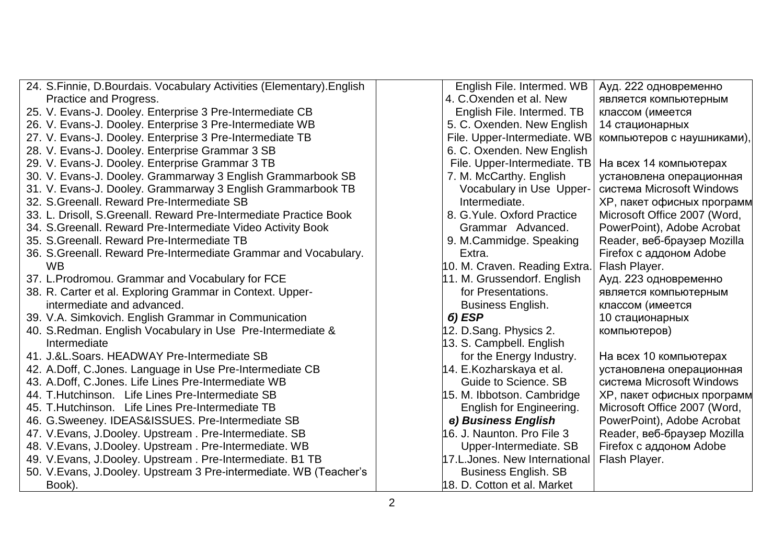| 24. S. Finnie, D. Bourdais. Vocabulary Activities (Elementary). English | English File. Intermed. WB    | Ауд. 222 одновременно             |
|-------------------------------------------------------------------------|-------------------------------|-----------------------------------|
| Practice and Progress.                                                  | 4. C.Oxenden et al. New       | является компьютерным             |
| 25. V. Evans-J. Dooley. Enterprise 3 Pre-Intermediate CB                | English File. Intermed. TB    | классом (имеется                  |
| 26. V. Evans-J. Dooley. Enterprise 3 Pre-Intermediate WB                | 5. C. Oxenden. New English    | 14 стационарных                   |
| 27. V. Evans-J. Dooley. Enterprise 3 Pre-Intermediate TB                | File. Upper-Intermediate. WB  | компьютеров с наушниками),        |
| 28. V. Evans-J. Dooley. Enterprise Grammar 3 SB                         | 6. C. Oxenden. New English    |                                   |
| 29. V. Evans-J. Dooley. Enterprise Grammar 3 TB                         | File. Upper-Intermediate. TB  | На всех 14 компьютерах            |
| 30. V. Evans-J. Dooley. Grammarway 3 English Grammarbook SB             | 7. M. McCarthy. English       | установлена операционная          |
| 31. V. Evans-J. Dooley. Grammarway 3 English Grammarbook TB             | Vocabulary in Use Upper-      | система Microsoft Windows         |
| 32. S. Greenall. Reward Pre-Intermediate SB                             | Intermediate.                 | <b>XP, пакет офисных программ</b> |
| 33. L. Drisoll, S. Greenall. Reward Pre-Intermediate Practice Book      | 8. G. Yule, Oxford Practice   | Microsoft Office 2007 (Word,      |
| 34. S. Greenall. Reward Pre-Intermediate Video Activity Book            | Grammar Advanced.             | PowerPoint), Adobe Acrobat        |
| 35. S. Greenall. Reward Pre-Intermediate TB                             | 9. M.Cammidge. Speaking       | Reader, веб-браузер Mozilla       |
| 36. S. Greenall. Reward Pre-Intermediate Grammar and Vocabulary.        | Extra.                        | Firefox с аддоном Adobe           |
| <b>WB</b>                                                               | 10. M. Craven. Reading Extra. | Flash Player.                     |
| 37. L. Prodromou. Grammar and Vocabulary for FCE                        | 11. M. Grussendorf. English   | Ауд. 223 одновременно             |
| 38. R. Carter et al. Exploring Grammar in Context. Upper-               | for Presentations.            | является компьютерным             |
| intermediate and advanced.                                              | <b>Business English.</b>      | классом (имеется                  |
| 39. V.A. Simkovich. English Grammar in Communication                    | 6) ESP                        | 10 стационарных                   |
| 40. S.Redman. English Vocabulary in Use Pre-Intermediate &              | 12. D.Sang. Physics 2.        | компьютеров)                      |
| Intermediate                                                            | 13. S. Campbell. English      |                                   |
| 41. J.&L.Soars. HEADWAY Pre-Intermediate SB                             | for the Energy Industry.      | На всех 10 компьютерах            |
| 42. A.Doff, C.Jones. Language in Use Pre-Intermediate CB                | 14. E.Kozharskaya et al.      | установлена операционная          |
| 43. A.Doff, C.Jones. Life Lines Pre-Intermediate WB                     | Guide to Science, SB          | система Microsoft Windows         |
| 44. T. Hutchinson. Life Lines Pre-Intermediate SB                       | 15. M. Ibbotson. Cambridge    | <b>XP, пакет офисных программ</b> |
| 45. T.Hutchinson. Life Lines Pre-Intermediate TB                        | English for Engineering.      | Microsoft Office 2007 (Word,      |
| 46. G. Sweeney. IDEAS&ISSUES. Pre-Intermediate SB                       | e) Business English           | PowerPoint), Adobe Acrobat        |
| 47. V. Evans, J. Dooley. Upstream. Pre-Intermediate. SB                 | 16. J. Naunton. Pro File 3    | Reader, веб-браузер Mozilla       |
| 48. V. Evans, J. Dooley. Upstream. Pre-Intermediate. WB                 | Upper-Intermediate. SB        | Firefox с аддоном Adobe           |
| 49. V.Evans, J.Dooley. Upstream. Pre-Intermediate. B1 TB                | 17.L.Jones. New International | Flash Player.                     |
| 50. V. Evans, J. Dooley. Upstream 3 Pre-intermediate. WB (Teacher's     | <b>Business English. SB</b>   |                                   |
| Book).                                                                  | 18. D. Cotton et al. Market   |                                   |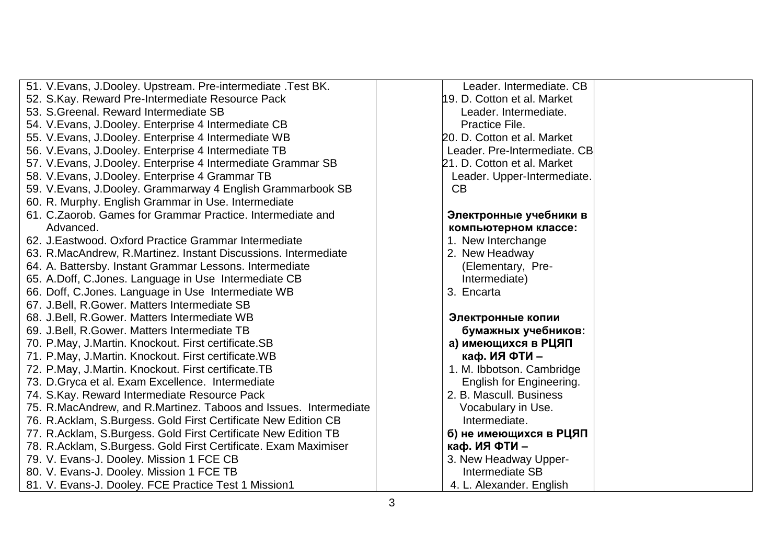| 51. V. Evans, J. Dooley. Upstream. Pre-intermediate . Test BK.   | Leader. Intermediate. CB     |  |
|------------------------------------------------------------------|------------------------------|--|
| 52. S.Kay. Reward Pre-Intermediate Resource Pack                 | 19. D. Cotton et al. Market  |  |
| 53. S. Greenal. Reward Intermediate SB                           | Leader. Intermediate.        |  |
| 54. V. Evans, J. Dooley. Enterprise 4 Intermediate CB            | Practice File.               |  |
| 55. V. Evans, J. Dooley. Enterprise 4 Intermediate WB            | 20. D. Cotton et al. Market  |  |
| 56. V. Evans, J. Dooley. Enterprise 4 Intermediate TB            | Leader. Pre-Intermediate. CB |  |
| 57. V. Evans, J. Dooley. Enterprise 4 Intermediate Grammar SB    | 21. D. Cotton et al. Market  |  |
| 58. V. Evans, J. Dooley. Enterprise 4 Grammar TB                 | Leader. Upper-Intermediate.  |  |
| 59. V. Evans, J. Dooley. Grammarway 4 English Grammarbook SB     | CB                           |  |
| 60. R. Murphy. English Grammar in Use. Intermediate              |                              |  |
| 61. C. Zaorob. Games for Grammar Practice. Intermediate and      | Электронные учебники в       |  |
| Advanced.                                                        | компьютерном классе:         |  |
| 62. J. Eastwood. Oxford Practice Grammar Intermediate            | 1. New Interchange           |  |
| 63. R.MacAndrew, R.Martinez. Instant Discussions. Intermediate   | 2. New Headway               |  |
| 64. A. Battersby. Instant Grammar Lessons. Intermediate          | (Elementary, Pre-            |  |
| 65. A.Doff, C.Jones. Language in Use Intermediate CB             | Intermediate)                |  |
| 66. Doff, C.Jones. Language in Use Intermediate WB               | 3. Encarta                   |  |
| 67. J. Bell, R. Gower. Matters Intermediate SB                   |                              |  |
| 68. J.Bell, R.Gower. Matters Intermediate WB                     | Электронные копии            |  |
| 69. J. Bell, R. Gower. Matters Intermediate TB                   | бумажных учебников:          |  |
| 70. P.May, J.Martin. Knockout. First certificate.SB              | а) имеющихся в РЦЯП          |  |
| 71. P.May, J.Martin. Knockout. First certificate. WB             | каф. ИЯ ФТИ -                |  |
| 72. P.May, J.Martin. Knockout. First certificate.TB              | 1. M. Ibbotson. Cambridge    |  |
| 73. D. Gryca et al. Exam Excellence. Intermediate                | English for Engineering.     |  |
| 74. S. Kay. Reward Intermediate Resource Pack                    | 2. B. Mascull. Business      |  |
| 75. R.MacAndrew, and R.Martinez. Taboos and Issues. Intermediate | Vocabulary in Use.           |  |
| 76. R.Acklam, S.Burgess. Gold First Certificate New Edition CB   | Intermediate.                |  |
| 77. R.Acklam, S.Burgess. Gold First Certificate New Edition TB   | б) не имеющихся в РЦЯП       |  |
| 78. R.Acklam, S.Burgess. Gold First Certificate. Exam Maximiser  | каф. ИЯ ФТИ-                 |  |
| 79. V. Evans-J. Dooley. Mission 1 FCE CB                         | 3. New Headway Upper-        |  |
| 80. V. Evans-J. Dooley. Mission 1 FCE TB                         | Intermediate SB              |  |
| 81. V. Evans-J. Dooley. FCE Practice Test 1 Mission1             | 4. L. Alexander. English     |  |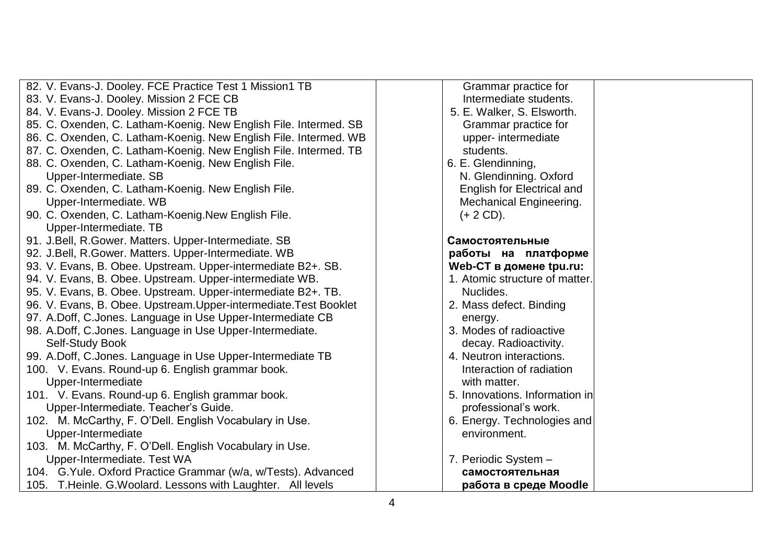| 82. V. Evans-J. Dooley. FCE Practice Test 1 Mission1 TB           | Grammar practice for           |
|-------------------------------------------------------------------|--------------------------------|
| 83. V. Evans-J. Dooley. Mission 2 FCE CB                          | Intermediate students.         |
| 84. V. Evans-J. Dooley. Mission 2 FCE TB                          | 5. E. Walker, S. Elsworth.     |
| 85. C. Oxenden, C. Latham-Koenig. New English File. Intermed. SB  | Grammar practice for           |
| 86. C. Oxenden, C. Latham-Koenig. New English File. Intermed. WB  | upper- intermediate            |
| 87. C. Oxenden, C. Latham-Koenig. New English File. Intermed. TB  | students.                      |
| 88. C. Oxenden, C. Latham-Koenig. New English File.               | 6. E. Glendinning,             |
| Upper-Intermediate. SB                                            | N. Glendinning. Oxford         |
| 89. C. Oxenden, C. Latham-Koenig. New English File.               | English for Electrical and     |
| Upper-Intermediate. WB                                            | <b>Mechanical Engineering.</b> |
| 90. C. Oxenden, C. Latham-Koenig. New English File.               | $(+ 2 CD).$                    |
| Upper-Intermediate. TB                                            |                                |
| 91. J.Bell, R.Gower. Matters. Upper-Intermediate. SB              | Самостоятельные                |
| 92. J.Bell, R.Gower. Matters. Upper-Intermediate. WB              | работы на платформе            |
| 93. V. Evans, B. Obee. Upstream. Upper-intermediate B2+. SB.      | Web-CT в домене tpu.ru:        |
| 94. V. Evans, B. Obee. Upstream. Upper-intermediate WB.           | 1. Atomic structure of matter. |
| 95. V. Evans, B. Obee. Upstream. Upper-intermediate B2+. TB.      | Nuclides.                      |
| 96. V. Evans, B. Obee. Upstream. Upper-intermediate. Test Booklet | 2. Mass defect. Binding        |
| 97. A.Doff, C.Jones. Language in Use Upper-Intermediate CB        | energy.                        |
| 98. A.Doff, C.Jones. Language in Use Upper-Intermediate.          | 3. Modes of radioactive        |
| Self-Study Book                                                   | decay. Radioactivity.          |
| 99. A.Doff, C.Jones. Language in Use Upper-Intermediate TB        | 4. Neutron interactions.       |
| 100. V. Evans. Round-up 6. English grammar book.                  | Interaction of radiation       |
| Upper-Intermediate                                                | with matter.                   |
| 101. V. Evans. Round-up 6. English grammar book.                  | 5. Innovations. Information in |
| Upper-Intermediate. Teacher's Guide.                              | professional's work.           |
| 102. M. McCarthy, F. O'Dell. English Vocabulary in Use.           | 6. Energy. Technologies and    |
| Upper-Intermediate                                                | environment.                   |
| 103. M. McCarthy, F. O'Dell. English Vocabulary in Use.           |                                |
| Upper-Intermediate. Test WA                                       | 7. Periodic System -           |
| 104. G. Yule. Oxford Practice Grammar (w/a, w/Tests). Advanced    | самостоятельная                |
| 105. T. Heinle. G. Woolard. Lessons with Laughter. All levels     | работа в среде Moodle          |
|                                                                   |                                |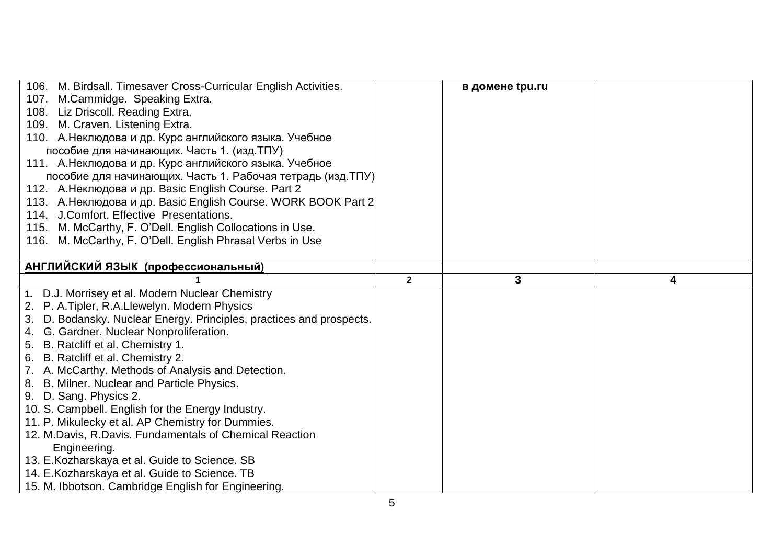| 106. M. Birdsall. Timesaver Cross-Curricular English Activities.<br>107. M.Cammidge. Speaking Extra.<br>108. Liz Driscoll. Reading Extra.<br>109. M. Craven. Listening Extra.<br>110. А. Неклюдова и др. Курс английского языка. Учебное |              | в домене tpu.ru |   |
|------------------------------------------------------------------------------------------------------------------------------------------------------------------------------------------------------------------------------------------|--------------|-----------------|---|
| пособие для начинающих. Часть 1. (изд. ТПУ)                                                                                                                                                                                              |              |                 |   |
| 111. А. Неклюдова и др. Курс английского языка. Учебное<br>пособие для начинающих. Часть 1. Рабочая тетрадь (изд. ТПУ)                                                                                                                   |              |                 |   |
| 112. А. Неклюдова и др. Basic English Course. Part 2                                                                                                                                                                                     |              |                 |   |
| 113. А. Неклюдова и др. Basic English Course. WORK BOOK Part 2                                                                                                                                                                           |              |                 |   |
| 114. J.Comfort. Effective Presentations.<br>115. M. McCarthy, F. O'Dell. English Collocations in Use.                                                                                                                                    |              |                 |   |
| 116. M. McCarthy, F. O'Dell. English Phrasal Verbs in Use                                                                                                                                                                                |              |                 |   |
| АНГЛИЙСКИЙ ЯЗЫК (профессиональный)                                                                                                                                                                                                       |              |                 |   |
|                                                                                                                                                                                                                                          | $\mathbf{2}$ | 3               | 4 |
|                                                                                                                                                                                                                                          |              |                 |   |
|                                                                                                                                                                                                                                          |              |                 |   |
| 1. D.J. Morrisey et al. Modern Nuclear Chemistry                                                                                                                                                                                         |              |                 |   |
| 2. P. A. Tipler, R.A. Llewelyn. Modern Physics                                                                                                                                                                                           |              |                 |   |
| 3. D. Bodansky. Nuclear Energy. Principles, practices and prospects.                                                                                                                                                                     |              |                 |   |
| 4. G. Gardner. Nuclear Nonproliferation.                                                                                                                                                                                                 |              |                 |   |
| 5. B. Ratcliff et al. Chemistry 1.<br>6. B. Ratcliff et al. Chemistry 2.                                                                                                                                                                 |              |                 |   |
| 7. A. McCarthy. Methods of Analysis and Detection.                                                                                                                                                                                       |              |                 |   |
| 8. B. Milner. Nuclear and Particle Physics.                                                                                                                                                                                              |              |                 |   |
| 9. D. Sang. Physics 2.                                                                                                                                                                                                                   |              |                 |   |
| 10. S. Campbell. English for the Energy Industry.                                                                                                                                                                                        |              |                 |   |
| 11. P. Mikulecky et al. AP Chemistry for Dummies.                                                                                                                                                                                        |              |                 |   |
| 12. M.Davis, R.Davis. Fundamentals of Chemical Reaction                                                                                                                                                                                  |              |                 |   |
| Engineering.                                                                                                                                                                                                                             |              |                 |   |
| 13. E.Kozharskaya et al. Guide to Science. SB                                                                                                                                                                                            |              |                 |   |
| 14. E. Kozharskaya et al. Guide to Science. TB<br>15. M. Ibbotson. Cambridge English for Engineering.                                                                                                                                    |              |                 |   |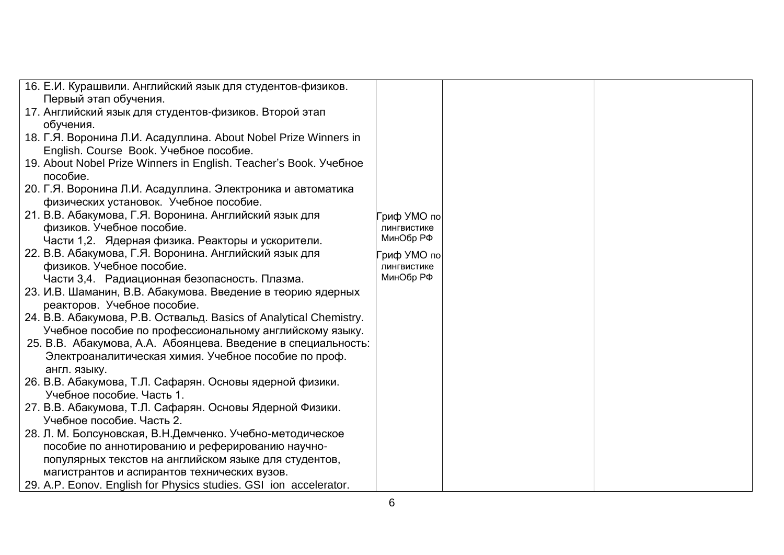| 16. Е.И. Курашвили. Английский язык для студентов-физиков.         |             |  |
|--------------------------------------------------------------------|-------------|--|
| Первый этап обучения.                                              |             |  |
| 17. Английский язык для студентов-физиков. Второй этап             |             |  |
| обучения.                                                          |             |  |
| 18. Г.Я. Воронина Л.И. Асадуллина. About Nobel Prize Winners in    |             |  |
| English. Course Book. Учебное пособие.                             |             |  |
| 19. About Nobel Prize Winners in English. Teacher's Book. Учебное  |             |  |
| пособие.                                                           |             |  |
| 20. Г.Я. Воронина Л.И. Асадуллина. Электроника и автоматика        |             |  |
| физических установок. Учебное пособие.                             |             |  |
| 21. В.В. Абакумова, Г.Я. Воронина. Английский язык для             | риф УМО по  |  |
| физиков. Учебное пособие.                                          | лингвистике |  |
| Части 1,2. Ядерная физика. Реакторы и ускорители.                  | МинОбр РФ   |  |
| 22. В.В. Абакумова, Г.Я. Воронина. Английский язык для             | риф УМО по  |  |
| физиков. Учебное пособие.                                          | лингвистике |  |
| Части 3,4. Радиационная безопасность. Плазма.                      | МинОбр РФ   |  |
| 23. И.В. Шаманин, В.В. Абакумова. Введение в теорию ядерных        |             |  |
| реакторов. Учебное пособие.                                        |             |  |
| 24. В.В. Абакумова, Р.В. Оствальд. Basics of Analytical Chemistry. |             |  |
| Учебное пособие по профессиональному английскому языку.            |             |  |
| 25. В.В. Абакумова, А.А. Абоянцева. Введение в специальность:      |             |  |
| Электроаналитическая химия. Учебное пособие по проф.               |             |  |
| англ. языку.                                                       |             |  |
| 26. В.В. Абакумова, Т.Л. Сафарян. Основы ядерной физики.           |             |  |
| Учебное пособие. Часть 1.                                          |             |  |
| 27. В.В. Абакумова, Т.Л. Сафарян. Основы Ядерной Физики.           |             |  |
| Учебное пособие. Часть 2.                                          |             |  |
| 28. Л. М. Болсуновская, В.Н.Демченко. Учебно-методическое          |             |  |
| пособие по аннотированию и реферированию научно-                   |             |  |
| популярных текстов на английском языке для студентов,              |             |  |
| магистрантов и аспирантов технических вузов.                       |             |  |
| 29. A.P. Eonov. English for Physics studies. GSI ion accelerator.  |             |  |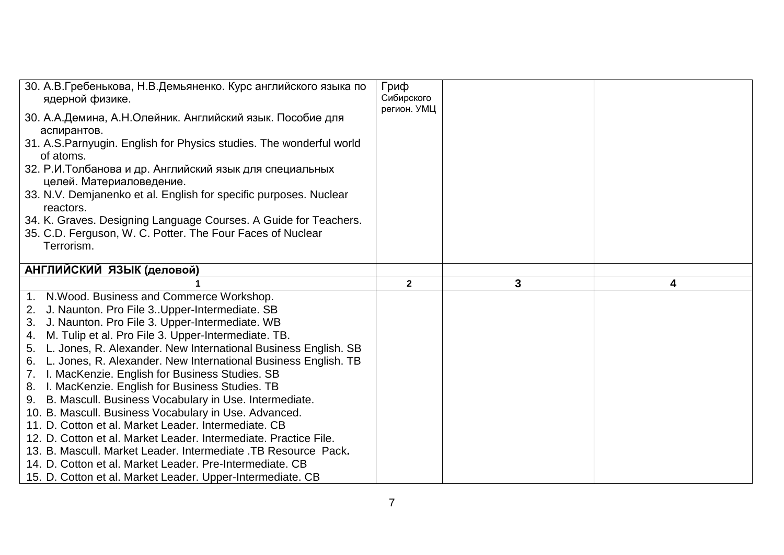| 30. А.В.Гребенькова, Н.В.Демьяненко. Курс английского языка по<br>ядерной физике.<br>30. А.А.Демина, А.Н.Олейник. Английский язык. Пособие для<br>аспирантов.<br>31. A.S. Parnyugin. English for Physics studies. The wonderful world<br>of atoms.<br>32. Р.И. Толбанова и др. Английский язык для специальных<br>целей. Материаловедение.<br>33. N.V. Demjanenko et al. English for specific purposes. Nuclear<br>reactors.<br>34. K. Graves. Designing Language Courses. A Guide for Teachers.<br>35. C.D. Ferguson, W. C. Potter. The Four Faces of Nuclear<br>Terrorism.                                                                                                                                                                                                                                                                                                                                           | Гриф<br>Сибирского<br>регион. УМЦ |   |   |
|------------------------------------------------------------------------------------------------------------------------------------------------------------------------------------------------------------------------------------------------------------------------------------------------------------------------------------------------------------------------------------------------------------------------------------------------------------------------------------------------------------------------------------------------------------------------------------------------------------------------------------------------------------------------------------------------------------------------------------------------------------------------------------------------------------------------------------------------------------------------------------------------------------------------|-----------------------------------|---|---|
| АНГЛИЙСКИЙ ЯЗЫК (деловой)                                                                                                                                                                                                                                                                                                                                                                                                                                                                                                                                                                                                                                                                                                                                                                                                                                                                                              |                                   |   |   |
|                                                                                                                                                                                                                                                                                                                                                                                                                                                                                                                                                                                                                                                                                                                                                                                                                                                                                                                        | $\mathbf{2}$                      | 3 | 4 |
| 1. N. Wood. Business and Commerce Workshop.<br>J. Naunton. Pro File 3. Upper-Intermediate. SB<br>2.<br>3. J. Naunton. Pro File 3. Upper-Intermediate. WB<br>4. M. Tulip et al. Pro File 3. Upper-Intermediate. TB.<br>5. L. Jones, R. Alexander. New International Business English. SB<br>L. Jones, R. Alexander. New International Business English. TB<br>6.<br>7. I. MacKenzie. English for Business Studies. SB<br>8. I. MacKenzie. English for Business Studies. TB<br>9. B. Mascull. Business Vocabulary in Use. Intermediate.<br>10. B. Mascull. Business Vocabulary in Use. Advanced.<br>11. D. Cotton et al. Market Leader. Intermediate. CB<br>12. D. Cotton et al. Market Leader. Intermediate. Practice File.<br>13. B. Mascull. Market Leader. Intermediate .TB Resource Pack.<br>14. D. Cotton et al. Market Leader. Pre-Intermediate. CB<br>15. D. Cotton et al. Market Leader. Upper-Intermediate. CB |                                   |   |   |